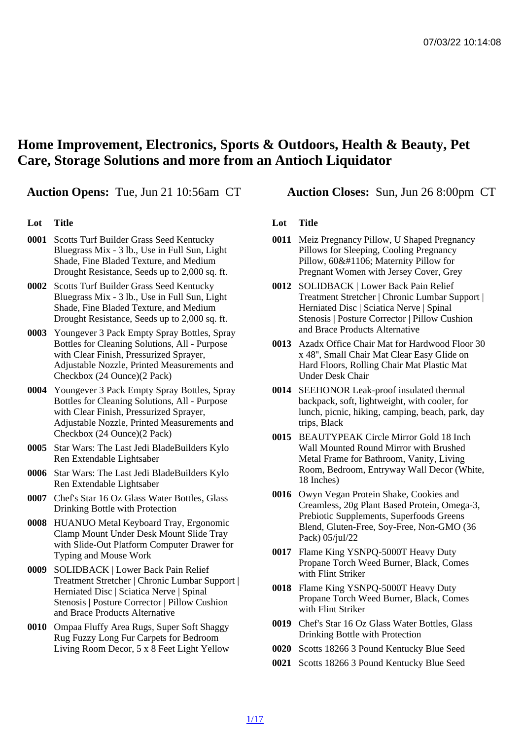## Home Improvement, Electronics, Sports & Outdoors, Health & Beauty, Pet Care, Storage Solutions and more from an Antioch Liquidator

Auction Opens: Tue, Jun 21 10:56am CT Auction Closes: Sun, Jun 26 8:00pm CT

## Lot Title

- 0001 Scotts Turf Builder Grass Seed Kentucky Bluegrass Mix - 3 lb., Use in Full Sun, Light Shade, Fine Bladed Texture, and Medium Drought Resistance, Seeds up to 2,000 sq. ft.
- 0002 Scotts Turf Builder Grass Seed Kentucky Bluegrass Mix - 3 lb., Use in Full Sun, Light Shade, Fine Bladed Texture, and Medium Drought Resistance, Seeds up to 2,000 sq. ft.
- 0003 Youngever 3 Pack Empty Spray Bottles, Spray Bottles for Cleaning Solutions, All - Purpose with Clear Finish, Pressurized Sprayer. Adjustable Nozzle, Printed Measurements and Checkbox (24 Ounce)(2 Pack)
- 0004 Youngever 3 Pack Empty Spray Bottles, Spray Bottles for Cleaning Solutions, All - Purpose with Clear Finish, Pressurized Sprayer, Adjustable Nozzle, Printed Measurements and Checkbox (24 Ounce)(2 Pack)
- 0005 Star Wars: The Last Jedi BladeBuilders Kylo Ren Extendable Lightsaber
- 0006 Star Wars: The Last Jedi BladeBuilders Kylo Ren Extendable Lightsaber
- 0007 Chef's Star 16 Oz Glass Water Bottles, Glass Drinking Bottle with Protection
- 0008 HUANUO Metal Keyboard Tray, Ergonomic Clamp Mount Under Desk Mount Slide Tray with Slide-Out Platform Computer Drawer for Typing and Mouse Work
- 0009 SOLIDBACK | Lower Back Pain Relief Treatment Stretcher | Chronic Lumbar Support | Herniated Disc | Sciatica Nerve | Spinal Stenosis | Posture Corrector | Pillow Cushion and Brace Products Alternative
- 0010 Ompaa Fluffy Area Rugs, Super Soft Shaggy Rug Fuzzy Long Fur Carpets for Bedroom Living Room Decor, 5 x 8 Feet Light Yellow

## Lot Title

- 0011 Meiz Pregnancy Pillow, U Shaped Pregnancy Pillows for Sleeping, Cooling Pregnancy Pillow, 60ђ Maternity Pillow for Pregnant Women with Jersey Cover, Grey
- 0012 SOLIDBACK | Lower Back Pain Relief Treatment Stretcher | Chronic Lumbar Support | Herniated Disc | Sciatica Nerve | Spinal Stenosis | Posture Corrector | Pillow Cushion and Brace Products Alternative
- 0013 Azadx Office Chair Mat for Hardwood Floor 30 x 48'', Small Chair Mat Clear Easy Glide on Hard Floors, Rolling Chair Mat Plastic Mat Under Desk Chair
- 0014 SEEHONOR Leak-proof insulated thermal backpack, soft, lightweight, with cooler, for lunch, picnic, hiking, camping, beach, park, day trips, Black
- 0015 BEAUTYPEAK Circle Mirror Gold 18 Inch Wall Mounted Round Mirror with Brushed Metal Frame for Bathroom, Vanity, Living Room, Bedroom, Entryway Wall Decor (White, 18 Inches)
- 0016 Owyn Vegan Protein Shake, Cookies and Creamless, 20g Plant Based Protein, Omega-3, Prebiotic Supplements, Superfoods Greens Blend, Gluten-Free, Soy-Free, Non-GMO (36 Pack) 05/jul/22
- 0017 Flame King YSNPQ-5000T Heavy Duty Propane Torch Weed Burner, Black, Comes with Flint Striker
- 0018 Flame King YSNPQ-5000T Heavy Duty Propane Torch Weed Burner, Black, Comes with Flint Striker
- 0019 Chef's Star 16 Oz Glass Water Bottles, Glass Drinking Bottle with Protection
- 0020 Scotts 18266 3 Pound Kentucky Blue Seed
- 0021 Scotts 18266 3 Pound Kentucky Blue Seed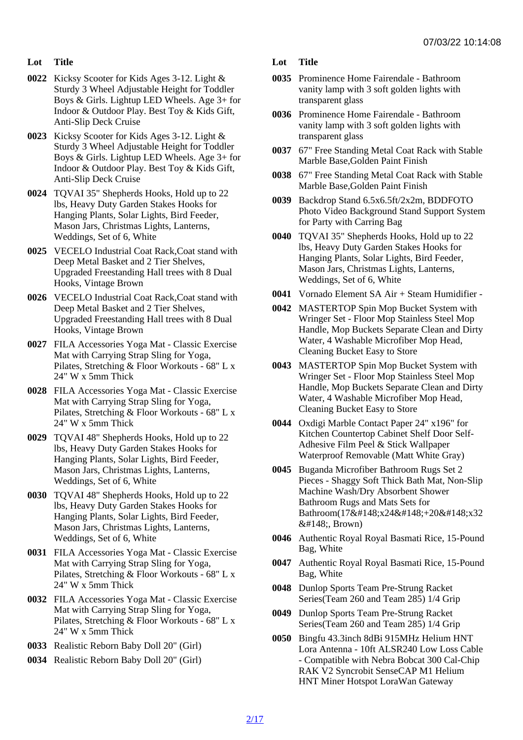- Lot Title
- 0022 Kicksy Scooter for Kids Ages 3-12. Light & Sturdy 3 Wheel Adjustable Height for Toddler Boys & Girls. Lightup LED Wheels. Age 3+ for Indoor & Outdoor Play. Best Toy & Kids Gift, Anti-Slip Deck Cruise
- 0023 Kicksy Scooter for Kids Ages 3-12. Light & Sturdy 3 Wheel Adjustable Height for Toddler Boys & Girls. Lightup LED Wheels. Age 3+ for Indoor & Outdoor Play. Best Toy & Kids Gift, Anti-Slip Deck Cruise
- 0024 TQVAI 35" Shepherds Hooks, Hold up to 22 lbs, Heavy Duty Garden Stakes Hooks for Hanging Plants, Solar Lights, Bird Feeder, Mason Jars, Christmas Lights, Lanterns, Weddings, Set of 6, White
- 0025 VECELO Industrial Coat Rack,Coat stand with Deep Metal Basket and 2 Tier Shelves, Upgraded Freestanding Hall trees with 8 Dual Hooks, Vintage Brown
- 0026 VECELO Industrial Coat Rack,Coat stand with Deep Metal Basket and 2 Tier Shelves, Upgraded Freestanding Hall trees with 8 Dual Hooks, Vintage Brown
- 0027 FILA Accessories Yoga Mat Classic Exercise Mat with Carrying Strap Sling for Yoga, Pilates, Stretching & Floor Workouts - 68" L x 24" W x 5mm Thick
- 0028 FILA Accessories Yoga Mat Classic Exercise Mat with Carrying Strap Sling for Yoga, Pilates, Stretching & Floor Workouts - 68" L x 24" W x 5mm Thick
- 0029 TQVAI 48" Shepherds Hooks, Hold up to 22 lbs, Heavy Duty Garden Stakes Hooks for Hanging Plants, Solar Lights, Bird Feeder, Mason Jars, Christmas Lights, Lanterns, Weddings, Set of 6, White
- 0030 TQVAI 48" Shepherds Hooks, Hold up to 22 lbs, Heavy Duty Garden Stakes Hooks for Hanging Plants, Solar Lights, Bird Feeder, Mason Jars, Christmas Lights, Lanterns, Weddings, Set of 6, White
- 0031 FILA Accessories Yoga Mat Classic Exercise Mat with Carrying Strap Sling for Yoga, Pilates, Stretching & Floor Workouts - 68" L x 24" W x 5mm Thick
- 0032 FILA Accessories Yoga Mat Classic Exercise Mat with Carrying Strap Sling for Yoga, Pilates, Stretching & Floor Workouts - 68" L x 24" W x 5mm Thick
- 0033 Realistic Reborn Baby Doll 20" (Girl)
- 0034 Realistic Reborn Baby Doll 20" (Girl)
- Lot Title
- 0035 Prominence Home Fairendale Bathroom vanity lamp with 3 soft golden lights with transparent glass
- 0036 Prominence Home Fairendale Bathroom vanity lamp with 3 soft golden lights with transparent glass
- 0037 67" Free Standing Metal Coat Rack with Stable Marble Base,Golden Paint Finish
- 0038 67" Free Standing Metal Coat Rack with Stable Marble Base,Golden Paint Finish
- 0039 Backdrop Stand 6.5x6.5ft/2x2m, BDDFOTO Photo Video Background Stand Support System for Party with Carring Bag
- 0040 TQVAI 35" Shepherds Hooks, Hold up to 22 lbs, Heavy Duty Garden Stakes Hooks for Hanging Plants, Solar Lights, Bird Feeder, Mason Jars, Christmas Lights, Lanterns, Weddings, Set of 6, White
- 0041 Vornado Element SA Air + Steam Humidifier -
- 0042 MASTERTOP Spin Mop Bucket System with Wringer Set - Floor Mop Stainless Steel Mop Handle, Mop Buckets Separate Clean and Dirty Water, 4 Washable Microfiber Mop Head, Cleaning Bucket Easy to Store
- 0043 MASTERTOP Spin Mop Bucket System with Wringer Set - Floor Mop Stainless Steel Mop Handle, Mop Buckets Separate Clean and Dirty Water, 4 Washable Microfiber Mop Head, Cleaning Bucket Easy to Store
- 0044 Oxdigi Marble Contact Paper 24" x196" for Kitchen Countertop Cabinet Shelf Door Self-Adhesive Film Peel & Stick Wallpaper Waterproof Removable (Matt White Gray)
- 0045 Buganda Microfiber Bathroom Rugs Set 2 Pieces - Shaggy Soft Thick Bath Mat, Non-Slip Machine Wash/Dry Absorbent Shower Bathroom Rugs and Mats Sets for Bathroom(17"x24"+20"x32 ", Brown)
- 0046 Authentic Royal Royal Basmati Rice, 15-Pound Bag, White
- 0047 Authentic Royal Royal Basmati Rice, 15-Pound Bag, White
- 0048 Dunlop Sports Team Pre-Strung Racket Series(Team 260 and Team 285) 1/4 Grip
- 0049 Dunlop Sports Team Pre-Strung Racket Series(Team 260 and Team 285) 1/4 Grip
- 0050 Bingfu 43.3inch 8dBi 915MHz Helium HNT Lora Antenna - 10ft ALSR240 Low Loss Cable - Compatible with Nebra Bobcat 300 Cal-Chip RAK V2 Syncrobit SenseCAP M1 Helium HNT Miner Hotspot LoraWan Gateway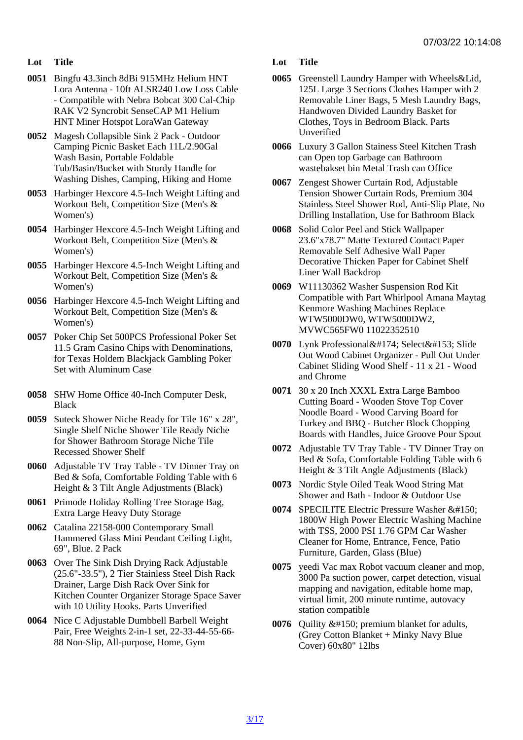- Lot Title
- 0051 Bingfu 43.3inch 8dBi 915MHz Helium HNT Lora Antenna - 10ft ALSR240 Low Loss Cable - Compatible with Nebra Bobcat 300 Cal-Chip RAK V2 Syncrobit SenseCAP M1 Helium HNT Miner Hotspot LoraWan Gateway
- 0052 Magesh Collapsible Sink 2 Pack Outdoor Camping Picnic Basket Each 11L/2.90Gal Wash Basin, Portable Foldable Tub/Basin/Bucket with Sturdy Handle for Washing Dishes, Camping, Hiking and Home
- 0053 Harbinger Hexcore 4.5-Inch Weight Lifting and Workout Belt, Competition Size (Men's & Women's)
- 0054 Harbinger Hexcore 4.5-Inch Weight Lifting and Workout Belt, Competition Size (Men's & Women's)
- 0055 Harbinger Hexcore 4.5-Inch Weight Lifting and Workout Belt, Competition Size (Men's & Women's)
- 0056 Harbinger Hexcore 4.5-Inch Weight Lifting and Workout Belt, Competition Size (Men's & Women's)
- 0057 Poker Chip Set 500PCS Professional Poker Set 11.5 Gram Casino Chips with Denominations, for Texas Holdem Blackjack Gambling Poker Set with Aluminum Case
- 0058 SHW Home Office 40-Inch Computer Desk, **Black**
- 0059 Suteck Shower Niche Ready for Tile 16" x 28", Single Shelf Niche Shower Tile Ready Niche for Shower Bathroom Storage Niche Tile Recessed Shower Shelf
- 0060 Adjustable TV Tray Table TV Dinner Tray on Bed & Sofa, Comfortable Folding Table with 6 Height & 3 Tilt Angle Adjustments (Black)
- 0061 Primode Holiday Rolling Tree Storage Bag, Extra Large Heavy Duty Storage
- 0062 Catalina 22158-000 Contemporary Small Hammered Glass Mini Pendant Ceiling Light, 69", Blue. 2 Pack
- 0063 Over The Sink Dish Drying Rack Adjustable (25.6"-33.5"), 2 Tier Stainless Steel Dish Rack Drainer, Large Dish Rack Over Sink for Kitchen Counter Organizer Storage Space Saver with 10 Utility Hooks. Parts Unverified
- 0064 Nice C Adjustable Dumbbell Barbell Weight Pair, Free Weights 2-in-1 set, 22-33-44-55-66- 88 Non-Slip, All-purpose, Home, Gym

Lot Title

- 0065 Greenstell Laundry Hamper with Wheels&Lid, 125L Large 3 Sections Clothes Hamper with 2 Removable Liner Bags, 5 Mesh Laundry Bags, Handwoven Divided Laundry Basket for Clothes, Toys in Bedroom Black. Parts Unverified
- 0066 Luxury 3 Gallon Stainess Steel Kitchen Trash can Open top Garbage can Bathroom wastebakset bin Metal Trash can Office
- 0067 Zengest Shower Curtain Rod, Adjustable Tension Shower Curtain Rods, Premium 304 Stainless Steel Shower Rod, Anti-Slip Plate, No Drilling Installation, Use for Bathroom Black
- 0068 Solid Color Peel and Stick Wallpaper 23.6"x78.7" Matte Textured Contact Paper Removable Self Adhesive Wall Paper Decorative Thicken Paper for Cabinet Shelf Liner Wall Backdrop
- 0069 W11130362 Washer Suspension Rod Kit Compatible with Part Whirlpool Amana Maytag Kenmore Washing Machines Replace WTW5000DW0, WTW5000DW2, MVWC565FW0 11022352510
- 0070 Lynk Professional® Select™ Slide Out Wood Cabinet Organizer - Pull Out Under Cabinet Sliding Wood Shelf - 11 x 21 - Wood and Chrome
- 0071 30 x 20 Inch XXXL Extra Large Bamboo Cutting Board - Wooden Stove Top Cover Noodle Board - Wood Carving Board for Turkey and BBQ - Butcher Block Chopping Boards with Handles, Juice Groove Pour Spout
- 0072 Adjustable TV Tray Table TV Dinner Tray on Bed & Sofa, Comfortable Folding Table with 6 Height & 3 Tilt Angle Adjustments (Black)
- 0073 Nordic Style Oiled Teak Wood String Mat Shower and Bath - Indoor & Outdoor Use
- 0074 SPECILITE Electric Pressure Washer &#150: 1800W High Power Electric Washing Machine with TSS, 2000 PSI 1.76 GPM Car Washer Cleaner for Home, Entrance, Fence, Patio Furniture, Garden, Glass (Blue)
- 0075 yeedi Vac max Robot vacuum cleaner and mop, 3000 Pa suction power, carpet detection, visual mapping and navigation, editable home map, virtual limit, 200 minute runtime, autovacy station compatible
- 0076 Quility premium blanket for adults, (Grey Cotton Blanket + Minky Navy Blue Cover) 60x80" 12lbs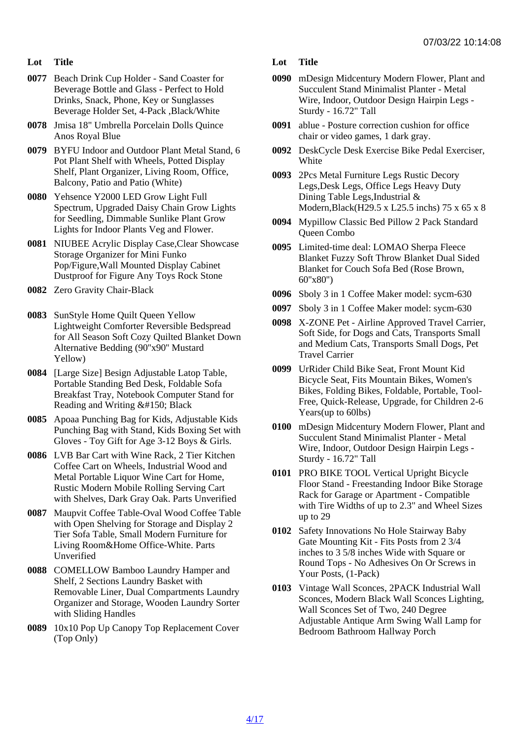- Lot Title
- 0077 Beach Drink Cup Holder Sand Coaster for Beverage Bottle and Glass - Perfect to Hold Drinks, Snack, Phone, Key or Sunglasses Beverage Holder Set, 4-Pack ,Black/White
- 0078 Jmisa 18" Umbrella Porcelain Dolls Quince Anos Royal Blue
- 0079 BYFU Indoor and Outdoor Plant Metal Stand, 6 Pot Plant Shelf with Wheels, Potted Display Shelf, Plant Organizer, Living Room, Office, Balcony, Patio and Patio (White)
- 0080 Yehsence Y2000 LED Grow Light Full Spectrum, Upgraded Daisy Chain Grow Lights for Seedling, Dimmable Sunlike Plant Grow Lights for Indoor Plants Veg and Flower.
- 0081 NIUBEE Acrylic Display Case,Clear Showcase Storage Organizer for Mini Funko Pop/Figure,Wall Mounted Display Cabinet Dustproof for Figure Any Toys Rock Stone
- 0082 Zero Gravity Chair-Black
- 0083 SunStyle Home Quilt Queen Yellow Lightweight Comforter Reversible Bedspread for All Season Soft Cozy Quilted Blanket Down Alternative Bedding (90"x90" Mustard Yellow)
- 0084 [Large Size] Besign Adjustable Latop Table, Portable Standing Bed Desk, Foldable Sofa Breakfast Tray, Notebook Computer Stand for Reading and Writing – Black
- 0085 Apoaa Punching Bag for Kids, Adjustable Kids Punching Bag with Stand, Kids Boxing Set with Gloves - Toy Gift for Age 3-12 Boys & Girls.
- 0086 LVB Bar Cart with Wine Rack, 2 Tier Kitchen Coffee Cart on Wheels, Industrial Wood and Metal Portable Liquor Wine Cart for Home, Rustic Modern Mobile Rolling Serving Cart with Shelves, Dark Gray Oak. Parts Unverified
- 0087 Maupvit Coffee Table-Oval Wood Coffee Table with Open Shelving for Storage and Display 2 Tier Sofa Table, Small Modern Furniture for Living Room&Home Office-White. Parts Unverified
- 0088 COMELLOW Bamboo Laundry Hamper and Shelf, 2 Sections Laundry Basket with Removable Liner, Dual Compartments Laundry Organizer and Storage, Wooden Laundry Sorter with Sliding Handles
- 0089 10x10 Pop Up Canopy Top Replacement Cover (Top Only)
- Lot Title
- 0090 mDesign Midcentury Modern Flower, Plant and Succulent Stand Minimalist Planter - Metal Wire, Indoor, Outdoor Design Hairpin Legs - Sturdy - 16.72" Tall
- 0091 ablue Posture correction cushion for office chair or video games, 1 dark gray.
- 0092 DeskCycle Desk Exercise Bike Pedal Exerciser, **White**
- 0093 2Pcs Metal Furniture Legs Rustic Decory Legs,Desk Legs, Office Legs Heavy Duty Dining Table Legs, Industrial & Modern,Black(H29.5 x L25.5 inchs) 75 x 65 x 8
- 0094 Mypillow Classic Bed Pillow 2 Pack Standard Queen Combo
- 0095 Limited-time deal: LOMAO Sherpa Fleece Blanket Fuzzy Soft Throw Blanket Dual Sided Blanket for Couch Sofa Bed (Rose Brown, 60''x80'')
- 0096 Sboly 3 in 1 Coffee Maker model: sycm-630
- 0097 Sboly 3 in 1 Coffee Maker model: sycm-630
- 0098 X-ZONE Pet Airline Approved Travel Carrier, Soft Side, for Dogs and Cats, Transports Small and Medium Cats, Transports Small Dogs, Pet Travel Carrier
- 0099 UrRider Child Bike Seat, Front Mount Kid Bicycle Seat, Fits Mountain Bikes, Women's Bikes, Folding Bikes, Foldable, Portable, Tool-Free, Quick-Release, Upgrade, for Children 2-6 Years(up to 60lbs)
- 0100 mDesign Midcentury Modern Flower, Plant and Succulent Stand Minimalist Planter - Metal Wire, Indoor, Outdoor Design Hairpin Legs - Sturdy - 16.72" Tall
- 0101 PRO BIKE TOOL Vertical Upright Bicycle Floor Stand - Freestanding Indoor Bike Storage Rack for Garage or Apartment - Compatible with Tire Widths of up to 2.3" and Wheel Sizes up to 29
- 0102 Safety Innovations No Hole Stairway Baby Gate Mounting Kit - Fits Posts from 2 3/4 inches to 3 5/8 inches Wide with Square or Round Tops - No Adhesives On Or Screws in Your Posts, (1-Pack)
- 0103 Vintage Wall Sconces, 2PACK Industrial Wall Sconces, Modern Black Wall Sconces Lighting, Wall Sconces Set of Two, 240 Degree Adjustable Antique Arm Swing Wall Lamp for Bedroom Bathroom Hallway Porch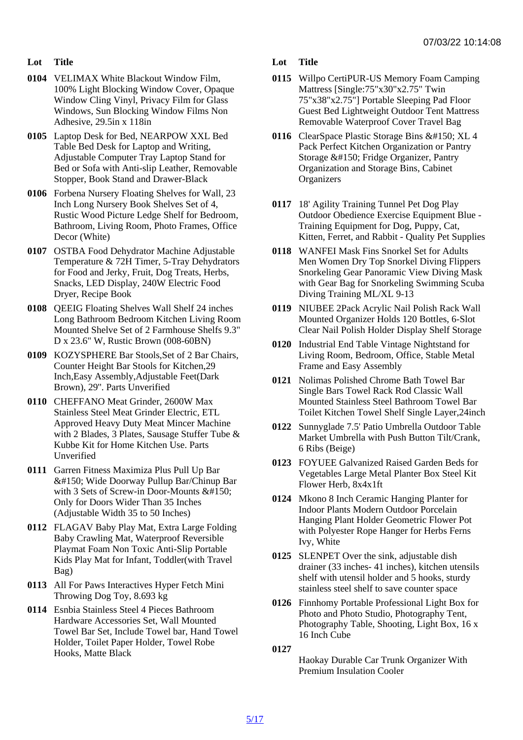- Lot Title
- 0104 VELIMAX White Blackout Window Film, 100% Light Blocking Window Cover, Opaque Window Cling Vinyl, Privacy Film for Glass Windows, Sun Blocking Window Films Non Adhesive, 29.5in x 118in
- 0105 Laptop Desk for Bed, NEARPOW XXL Bed Table Bed Desk for Laptop and Writing, Adjustable Computer Tray Laptop Stand for Bed or Sofa with Anti-slip Leather, Removable Stopper, Book Stand and Drawer-Black
- 0106 Forbena Nursery Floating Shelves for Wall, 23 Inch Long Nursery Book Shelves Set of 4, Rustic Wood Picture Ledge Shelf for Bedroom, Bathroom, Living Room, Photo Frames, Office Decor (White)
- 0107 OSTBA Food Dehydrator Machine Adjustable Temperature & 72H Timer, 5-Tray Dehydrators for Food and Jerky, Fruit, Dog Treats, Herbs, Snacks, LED Display, 240W Electric Food Dryer, Recipe Book
- 0108 QEEIG Floating Shelves Wall Shelf 24 inches Long Bathroom Bedroom Kitchen Living Room Mounted Shelve Set of 2 Farmhouse Shelfs 9.3" D x 23.6" W, Rustic Brown (008-60BN)
- 0109 KOZYSPHERE Bar Stools,Set of 2 Bar Chairs, Counter Height Bar Stools for Kitchen,29 Inch,Easy Assembly,Adjustable Feet(Dark Brown), 29''. Parts Unverified
- 0110 CHEFFANO Meat Grinder, 2600W Max Stainless Steel Meat Grinder Electric, ETL Approved Heavy Duty Meat Mincer Machine with 2 Blades, 3 Plates, Sausage Stuffer Tube & Kubbe Kit for Home Kitchen Use. Parts Unverified
- 0111 Garren Fitness Maximiza Plus Pull Up Bar – Wide Doorway Pullup Bar/Chinup Bar with 3 Sets of Screw-in Door-Mounts &#150: Only for Doors Wider Than 35 Inches (Adjustable Width 35 to 50 Inches)
- 0112 FLAGAV Baby Play Mat, Extra Large Folding Baby Crawling Mat, Waterproof Reversible Playmat Foam Non Toxic Anti-Slip Portable Kids Play Mat for Infant, Toddler(with Travel Bag)
- 0113 All For Paws Interactives Hyper Fetch Mini Throwing Dog Toy, 8.693 kg
- 0114 Esnbia Stainless Steel 4 Pieces Bathroom Hardware Accessories Set, Wall Mounted Towel Bar Set, Include Towel bar, Hand Towel Holder, Toilet Paper Holder, Towel Robe Hooks, Matte Black

Lot Title

- 0115 Willpo CertiPUR-US Memory Foam Camping Mattress [Single:75"x30"x2.75" Twin 75"x38"x2.75"] Portable Sleeping Pad Floor Guest Bed Lightweight Outdoor Tent Mattress Removable Waterproof Cover Travel Bag
- 0116 ClearSpace Plastic Storage Bins XL 4 Pack Perfect Kitchen Organization or Pantry Storage – Fridge Organizer, Pantry Organization and Storage Bins, Cabinet **Organizers**
- 0117 18' Agility Training Tunnel Pet Dog Play Outdoor Obedience Exercise Equipment Blue - Training Equipment for Dog, Puppy, Cat, Kitten, Ferret, and Rabbit - Quality Pet Supplies
- 0118 WANFEI Mask Fins Snorkel Set for Adults Men Women Dry Top Snorkel Diving Flippers Snorkeling Gear Panoramic View Diving Mask with Gear Bag for Snorkeling Swimming Scuba Diving Training ML/XL 9-13
- 0119 NIUBEE 2Pack Acrylic Nail Polish Rack Wall Mounted Organizer Holds 120 Bottles, 6-Slot Clear Nail Polish Holder Display Shelf Storage
- 0120 Industrial End Table Vintage Nightstand for Living Room, Bedroom, Office, Stable Metal Frame and Easy Assembly
- 0121 Nolimas Polished Chrome Bath Towel Bar Single Bars Towel Rack Rod Classic Wall Mounted Stainless Steel Bathroom Towel Bar Toilet Kitchen Towel Shelf Single Layer,24inch
- 0122 Sunnyglade 7.5' Patio Umbrella Outdoor Table Market Umbrella with Push Button Tilt/Crank, 6 Ribs (Beige)
- 0123 FOYUEE Galvanized Raised Garden Beds for Vegetables Large Metal Planter Box Steel Kit Flower Herb, 8x4x1ft
- 0124 Mkono 8 Inch Ceramic Hanging Planter for Indoor Plants Modern Outdoor Porcelain Hanging Plant Holder Geometric Flower Pot with Polyester Rope Hanger for Herbs Ferns Ivy, White
- 0125 SLENPET Over the sink, adjustable dish drainer (33 inches- 41 inches), kitchen utensils shelf with utensil holder and 5 hooks, sturdy stainless steel shelf to save counter space
- 0126 Finnhomy Portable Professional Light Box for Photo and Photo Studio, Photography Tent, Photography Table, Shooting, Light Box, 16 x 16 Inch Cube

0127

Haokay Durable Car Trunk Organizer With Premium Insulation Cooler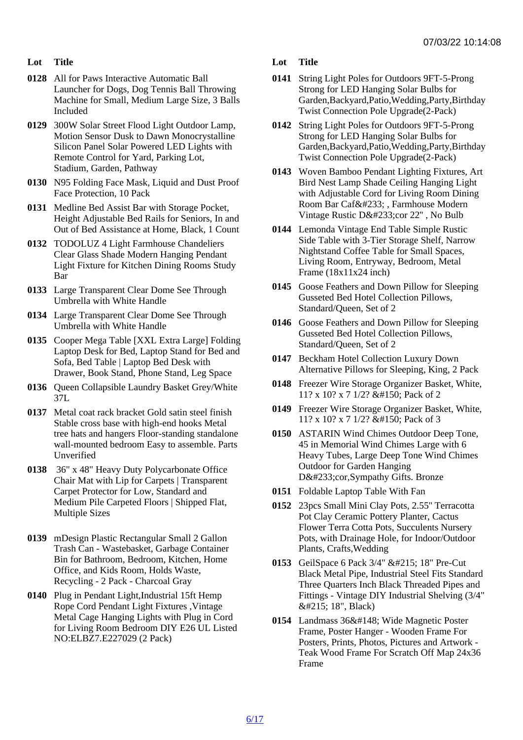- Lot Title
- 0128 All for Paws Interactive Automatic Ball Launcher for Dogs, Dog Tennis Ball Throwing Machine for Small, Medium Large Size, 3 Balls Included
- 0129 300W Solar Street Flood Light Outdoor Lamp, Motion Sensor Dusk to Dawn Monocrystalline Silicon Panel Solar Powered LED Lights with Remote Control for Yard, Parking Lot, Stadium, Garden, Pathway
- 0130 N95 Folding Face Mask, Liquid and Dust Proof Face Protection, 10 Pack
- 0131 Medline Bed Assist Bar with Storage Pocket, Height Adjustable Bed Rails for Seniors, In and Out of Bed Assistance at Home, Black, 1 Count
- 0132 TODOLUZ 4 Light Farmhouse Chandeliers Clear Glass Shade Modern Hanging Pendant Light Fixture for Kitchen Dining Rooms Study Bar
- 0133 Large Transparent Clear Dome See Through Umbrella with White Handle
- 0134 Large Transparent Clear Dome See Through Umbrella with White Handle
- 0135 Cooper Mega Table [XXL Extra Large] Folding Laptop Desk for Bed, Laptop Stand for Bed and Sofa, Bed Table | Laptop Bed Desk with Drawer, Book Stand, Phone Stand, Leg Space
- 0136 Queen Collapsible Laundry Basket Grey/White 37L
- 0137 Metal coat rack bracket Gold satin steel finish Stable cross base with high-end hooks Metal tree hats and hangers Floor-standing standalone wall-mounted bedroom Easy to assemble. Parts Unverified
- 0138 36" x 48" Heavy Duty Polycarbonate Office Chair Mat with Lip for Carpets | Transparent Carpet Protector for Low, Standard and Medium Pile Carpeted Floors | Shipped Flat, Multiple Sizes
- 0139 mDesign Plastic Rectangular Small 2 Gallon Trash Can - Wastebasket, Garbage Container Bin for Bathroom, Bedroom, Kitchen, Home Office, and Kids Room, Holds Waste, Recycling - 2 Pack - Charcoal Gray
- 0140 Plug in Pendant Light, Industrial 15ft Hemp Rope Cord Pendant Light Fixtures ,Vintage Metal Cage Hanging Lights with Plug in Cord for Living Room Bedroom DIY E26 UL Listed NO:ELBZ7.E227029 (2 Pack)
- Lot Title
- 0141 String Light Poles for Outdoors 9FT-5-Prong Strong for LED Hanging Solar Bulbs for Garden,Backyard,Patio,Wedding,Party,Birthday Twist Connection Pole Upgrade(2-Pack)
- 0142 String Light Poles for Outdoors 9FT-5-Prong Strong for LED Hanging Solar Bulbs for Garden,Backyard,Patio,Wedding,Party,Birthday Twist Connection Pole Upgrade(2-Pack)
- 0143 Woven Bamboo Pendant Lighting Fixtures, Art Bird Nest Lamp Shade Ceiling Hanging Light with Adjustable Cord for Living Room Dining Room Bar Café , Farmhouse Modern Vintage Rustic Décor 22", No Bulb
- 0144 Lemonda Vintage End Table Simple Rustic Side Table with 3-Tier Storage Shelf, Narrow Nightstand Coffee Table for Small Spaces, Living Room, Entryway, Bedroom, Metal Frame (18x11x24 inch)
- 0145 Goose Feathers and Down Pillow for Sleeping Gusseted Bed Hotel Collection Pillows, Standard/Queen, Set of 2
- 0146 Goose Feathers and Down Pillow for Sleeping Gusseted Bed Hotel Collection Pillows, Standard/Queen, Set of 2
- 0147 Beckham Hotel Collection Luxury Down Alternative Pillows for Sleeping, King, 2 Pack
- 0148 Freezer Wire Storage Organizer Basket, White, 11? x 10? x 7 1/2? – Pack of 2
- 0149 Freezer Wire Storage Organizer Basket, White, 11? x 10? x 7 1/2? – Pack of 3
- 0150 ASTARIN Wind Chimes Outdoor Deep Tone, 45 in Memorial Wind Chimes Large with 6 Heavy Tubes, Large Deep Tone Wind Chimes Outdoor for Garden Hanging Décor,Sympathy Gifts. Bronze
- 0151 Foldable Laptop Table With Fan
- 0152 23pcs Small Mini Clay Pots, 2.55'' Terracotta Pot Clay Ceramic Pottery Planter, Cactus Flower Terra Cotta Pots, Succulents Nursery Pots, with Drainage Hole, for Indoor/Outdoor Plants, Crafts,Wedding
- 0153 GeilSpace 6 Pack 3/4" × 18" Pre-Cut Black Metal Pipe, Industrial Steel Fits Standard Three Quarters Inch Black Threaded Pipes and Fittings - Vintage DIY Industrial Shelving (3/4" × 18", Black)
- 0154 Landmass 36" Wide Magnetic Poster Frame, Poster Hanger - Wooden Frame For Posters, Prints, Photos, Pictures and Artwork - Teak Wood Frame For Scratch Off Map 24x36 Frame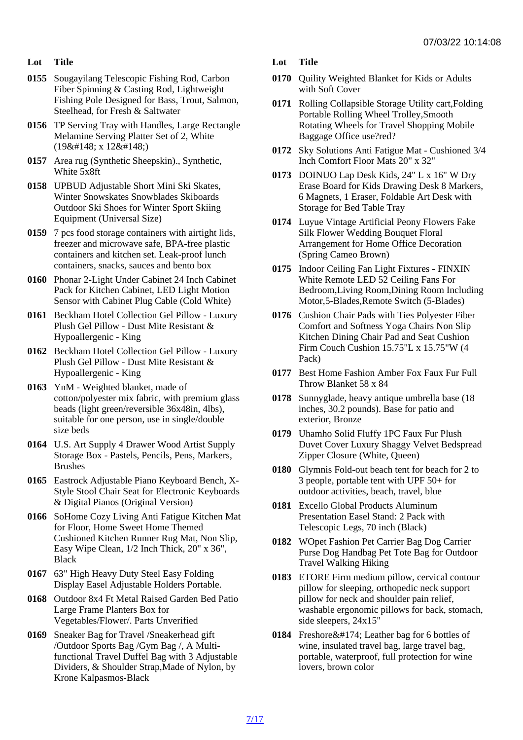- Lot Title
- 0155 Sougayilang Telescopic Fishing Rod, Carbon Fiber Spinning & Casting Rod, Lightweight Fishing Pole Designed for Bass, Trout, Salmon, Steelhead, for Fresh & Saltwater
- 0156 TP Serving Tray with Handles, Large Rectangle Melamine Serving Platter Set of 2, White  $(198\#148; x 128\#148)$
- 0157 Area rug (Synthetic Sheepskin)., Synthetic, White 5x8ft
- 0158 UPBUD Adjustable Short Mini Ski Skates, Winter Snowskates Snowblades Skiboards Outdoor Ski Shoes for Winter Sport Skiing Equipment (Universal Size)
- 0159 7 pcs food storage containers with airtight lids, freezer and microwave safe, BPA-free plastic containers and kitchen set. Leak-proof lunch containers, snacks, sauces and bento box
- 0160 Phonar 2-Light Under Cabinet 24 Inch Cabinet Pack for Kitchen Cabinet, LED Light Motion Sensor with Cabinet Plug Cable (Cold White)
- 0161 Beckham Hotel Collection Gel Pillow Luxury Plush Gel Pillow - Dust Mite Resistant & Hypoallergenic - King
- 0162 Beckham Hotel Collection Gel Pillow Luxury Plush Gel Pillow - Dust Mite Resistant & Hypoallergenic - King
- 0163 YnM Weighted blanket, made of cotton/polyester mix fabric, with premium glass beads (light green/reversible 36x48in, 4lbs), suitable for one person, use in single/double size beds
- 0164 U.S. Art Supply 4 Drawer Wood Artist Supply Storage Box - Pastels, Pencils, Pens, Markers, Brushes
- 0165 Eastrock Adjustable Piano Keyboard Bench, X-Style Stool Chair Seat for Electronic Keyboards & Digital Pianos (Original Version)
- 0166 SoHome Cozy Living Anti Fatigue Kitchen Mat for Floor, Home Sweet Home Themed Cushioned Kitchen Runner Rug Mat, Non Slip, Easy Wipe Clean, 1/2 Inch Thick, 20" x 36", **Black**
- 0167 63" High Heavy Duty Steel Easy Folding Display Easel Adjustable Holders Portable.
- 0168 Outdoor 8x4 Ft Metal Raised Garden Bed Patio Large Frame Planters Box for Vegetables/Flower/. Parts Unverified
- 0169 Sneaker Bag for Travel /Sneakerhead gift /Outdoor Sports Bag /Gym Bag /, A Multifunctional Travel Duffel Bag with 3 Adjustable Dividers, & Shoulder Strap,Made of Nylon, by Krone Kalpasmos-Black
- Lot Title
- 0170 Quility Weighted Blanket for Kids or Adults with Soft Cover
- 0171 Rolling Collapsible Storage Utility cart,Folding Portable Rolling Wheel Trolley,Smooth Rotating Wheels for Travel Shopping Mobile Baggage Office use?red?
- 0172 Sky Solutions Anti Fatigue Mat Cushioned 3/4 Inch Comfort Floor Mats 20" x 32"
- 0173 DOINUO Lap Desk Kids, 24" L x 16" W Dry Erase Board for Kids Drawing Desk 8 Markers, 6 Magnets, 1 Eraser, Foldable Art Desk with Storage for Bed Table Tray
- 0174 Luyue Vintage Artificial Peony Flowers Fake Silk Flower Wedding Bouquet Floral Arrangement for Home Office Decoration (Spring Cameo Brown)
- 0175 Indoor Ceiling Fan Light Fixtures FINXIN White Remote LED 52 Ceiling Fans For Bedroom,Living Room,Dining Room Including Motor,5-Blades,Remote Switch (5-Blades)
- 0176 Cushion Chair Pads with Ties Polyester Fiber Comfort and Softness Yoga Chairs Non Slip Kitchen Dining Chair Pad and Seat Cushion Firm Couch Cushion 15.75"L x 15.75"W (4 Pack)
- 0177 Best Home Fashion Amber Fox Faux Fur Full Throw Blanket 58 x 84
- 0178 Sunnyglade, heavy antique umbrella base (18 inches, 30.2 pounds). Base for patio and exterior, Bronze
- 0179 Uhamho Solid Fluffy 1PC Faux Fur Plush Duvet Cover Luxury Shaggy Velvet Bedspread Zipper Closure (White, Queen)
- 0180 Glymnis Fold-out beach tent for beach for 2 to 3 people, portable tent with UPF 50+ for outdoor activities, beach, travel, blue
- 0181 Excello Global Products Aluminum Presentation Easel Stand: 2 Pack with Telescopic Legs, 70 inch (Black)
- 0182 WOpet Fashion Pet Carrier Bag Dog Carrier Purse Dog Handbag Pet Tote Bag for Outdoor Travel Walking Hiking
- 0183 ETORE Firm medium pillow, cervical contour pillow for sleeping, orthopedic neck support pillow for neck and shoulder pain relief, washable ergonomic pillows for back, stomach, side sleepers, 24x15"
- 0184 Freshore® Leather bag for 6 bottles of wine, insulated travel bag, large travel bag, portable, waterproof, full protection for wine lovers, brown color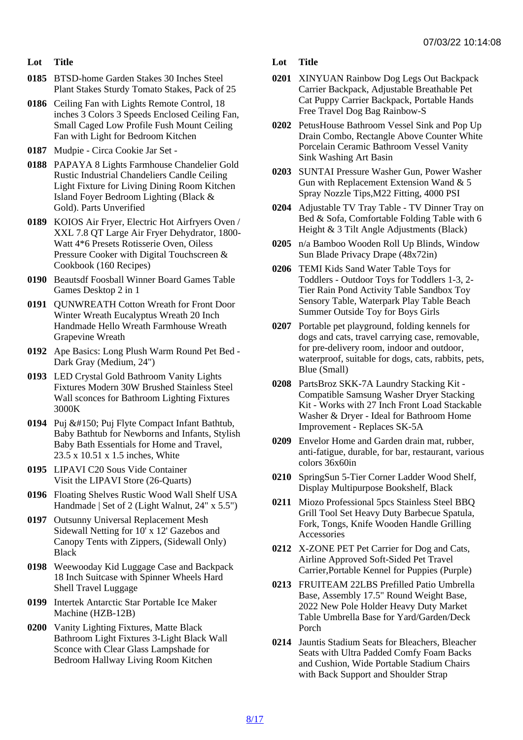- Lot Title
- 0185 BTSD-home Garden Stakes 30 Inches Steel Plant Stakes Sturdy Tomato Stakes, Pack of 25
- 0186 Ceiling Fan with Lights Remote Control, 18 inches 3 Colors 3 Speeds Enclosed Ceiling Fan, Small Caged Low Profile Fush Mount Ceiling Fan with Light for Bedroom Kitchen
- 0187 Mudpie Circa Cookie Jar Set -
- 0188 PAPAYA 8 Lights Farmhouse Chandelier Gold Rustic Industrial Chandeliers Candle Ceiling Light Fixture for Living Dining Room Kitchen Island Foyer Bedroom Lighting (Black & Gold). Parts Unverified
- 0189 KOIOS Air Fryer, Electric Hot Airfryers Oven / XXL 7.8 QT Large Air Fryer Dehydrator, 1800- Watt 4\*6 Presets Rotisserie Oven, Oiless Pressure Cooker with Digital Touchscreen & Cookbook (160 Recipes)
- 0190 Beautsdf Foosball Winner Board Games Table Games Desktop 2 in 1
- 0191 QUNWREATH Cotton Wreath for Front Door Winter Wreath Eucalyptus Wreath 20 Inch Handmade Hello Wreath Farmhouse Wreath Grapevine Wreath
- 0192 Ape Basics: Long Plush Warm Round Pet Bed Dark Gray (Medium, 24")
- 0193 LED Crystal Gold Bathroom Vanity Lights Fixtures Modern 30W Brushed Stainless Steel Wall sconces for Bathroom Lighting Fixtures 3000K
- 0194 Puj Puj Flyte Compact Infant Bathtub, Baby Bathtub for Newborns and Infants, Stylish Baby Bath Essentials for Home and Travel, 23.5 x 10.51 x 1.5 inches, White
- 0195 LIPAVI C20 Sous Vide Container Visit the LIPAVI Store (26-Quarts)
- 0196 Floating Shelves Rustic Wood Wall Shelf USA Handmade | Set of 2 (Light Walnut, 24" x 5.5")
- 0197 Outsunny Universal Replacement Mesh Sidewall Netting for 10' x 12' Gazebos and Canopy Tents with Zippers, (Sidewall Only) **Black**
- 0198 Weewooday Kid Luggage Case and Backpack 18 Inch Suitcase with Spinner Wheels Hard Shell Travel Luggage
- 0199 Intertek Antarctic Star Portable Ice Maker Machine (HZB-12B)
- 0200 Vanity Lighting Fixtures, Matte Black Bathroom Light Fixtures 3-Light Black Wall Sconce with Clear Glass Lampshade for Bedroom Hallway Living Room Kitchen
- Lot Title
- 0201 XINYUAN Rainbow Dog Legs Out Backpack Carrier Backpack, Adjustable Breathable Pet Cat Puppy Carrier Backpack, Portable Hands Free Travel Dog Bag Rainbow-S
- 0202 PetusHouse Bathroom Vessel Sink and Pop Up Drain Combo, Rectangle Above Counter White Porcelain Ceramic Bathroom Vessel Vanity Sink Washing Art Basin
- 0203 SUNTAI Pressure Washer Gun, Power Washer Gun with Replacement Extension Wand & 5 Spray Nozzle Tips,M22 Fitting, 4000 PSI
- 0204 Adjustable TV Tray Table TV Dinner Tray on Bed & Sofa, Comfortable Folding Table with 6 Height & 3 Tilt Angle Adjustments (Black)
- 0205 n/a Bamboo Wooden Roll Up Blinds, Window Sun Blade Privacy Drape (48x72in)
- 0206 TEMI Kids Sand Water Table Toys for Toddlers - Outdoor Toys for Toddlers 1-3, 2- Tier Rain Pond Activity Table Sandbox Toy Sensory Table, Waterpark Play Table Beach Summer Outside Toy for Boys Girls
- 0207 Portable pet playground, folding kennels for dogs and cats, travel carrying case, removable, for pre-delivery room, indoor and outdoor, waterproof, suitable for dogs, cats, rabbits, pets, Blue (Small)
- 0208 PartsBroz SKK-7A Laundry Stacking Kit Compatible Samsung Washer Dryer Stacking Kit - Works with 27 Inch Front Load Stackable Washer & Dryer - Ideal for Bathroom Home Improvement - Replaces SK-5A
- 0209 Envelor Home and Garden drain mat, rubber, anti-fatigue, durable, for bar, restaurant, various colors 36x60in
- 0210 SpringSun 5-Tier Corner Ladder Wood Shelf, Display Multipurpose Bookshelf, Black
- 0211 Miozo Professional 5pcs Stainless Steel BBQ Grill Tool Set Heavy Duty Barbecue Spatula, Fork, Tongs, Knife Wooden Handle Grilling Accessories
- 0212 X-ZONE PET Pet Carrier for Dog and Cats, Airline Approved Soft-Sided Pet Travel Carrier,Portable Kennel for Puppies (Purple)
- 0213 FRUITEAM 22LBS Prefilled Patio Umbrella Base, Assembly 17.5" Round Weight Base, 2022 New Pole Holder Heavy Duty Market Table Umbrella Base for Yard/Garden/Deck Porch
- 0214 Jauntis Stadium Seats for Bleachers, Bleacher Seats with Ultra Padded Comfy Foam Backs and Cushion, Wide Portable Stadium Chairs with Back Support and Shoulder Strap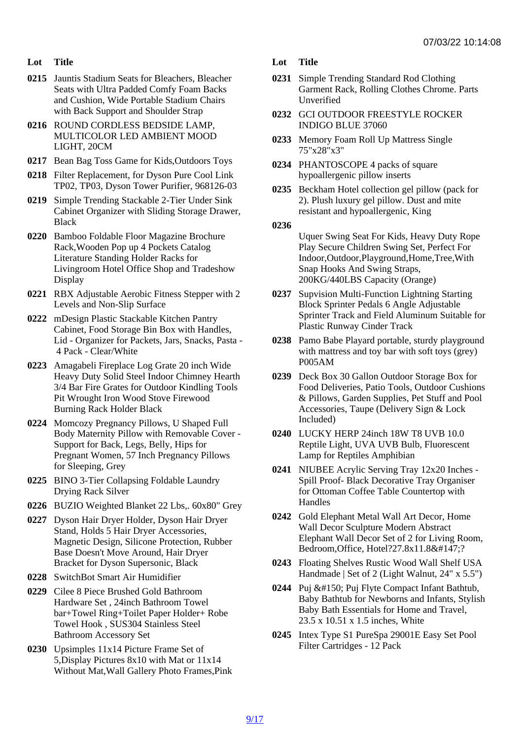- Lot Title
- 0215 Jauntis Stadium Seats for Bleachers, Bleacher Seats with Ultra Padded Comfy Foam Backs and Cushion, Wide Portable Stadium Chairs with Back Support and Shoulder Strap
- 0216 ROUND CORDLESS BEDSIDE LAMP, MULTICOLOR LED AMBIENT MOOD LIGHT, 20CM
- 0217 Bean Bag Toss Game for Kids,Outdoors Toys
- 0218 Filter Replacement, for Dyson Pure Cool Link TP02, TP03, Dyson Tower Purifier, 968126-03
- 0219 Simple Trending Stackable 2-Tier Under Sink Cabinet Organizer with Sliding Storage Drawer, Black
- 0220 Bamboo Foldable Floor Magazine Brochure Rack,Wooden Pop up 4 Pockets Catalog Literature Standing Holder Racks for Livingroom Hotel Office Shop and Tradeshow **Display**
- 0221 RBX Adjustable Aerobic Fitness Stepper with 2 Levels and Non-Slip Surface
- 0222 mDesign Plastic Stackable Kitchen Pantry Cabinet, Food Storage Bin Box with Handles, 4 Pack - Clear/White
- 0223 Amagabeli Fireplace Log Grate 20 inch Wide Heavy Duty Solid Steel Indoor Chimney Hearth 3/4 Bar Fire Grates for Outdoor Kindling Tools Pit Wrought Iron Wood Stove Firewood Burning Rack Holder Black
- 0224 Momcozy Pregnancy Pillows, U Shaped Full Body Maternity Pillow with Removable Cover - Support for Back, Legs, Belly, Hips for Pregnant Women, 57 Inch Pregnancy Pillows for Sleeping, Grey
- 0225 BINO 3-Tier Collapsing Foldable Laundry Drying Rack Silver
- 0226 BUZIO Weighted Blanket 22 Lbs,. 60x80" Grey
- 0227 Dyson Hair Dryer Holder, Dyson Hair Dryer Stand, Holds 5 Hair Dryer Accessories, Magnetic Design, Silicone Protection, Rubber Base Doesn't Move Around, Hair Dryer Bracket for Dyson Supersonic, Black
- 0228 SwitchBot Smart Air Humidifier
- 0229 Cilee 8 Piece Brushed Gold Bathroom Hardware Set , 24inch Bathroom Towel bar+Towel Ring+Toilet Paper Holder+ Robe Towel Hook , SUS304 Stainless Steel Bathroom Accessory Set
- 0230 Upsimples 11x14 Picture Frame Set of 5,Display Pictures 8x10 with Mat or 11x14 Without Mat,Wall Gallery Photo Frames,Pink
- Lot Title
- 0231 Simple Trending Standard Rod Clothing Garment Rack, Rolling Clothes Chrome. Parts Unverified
- 0232 GCI OUTDOOR FREESTYLE ROCKER INDIGO BLUE 37060
- 0233 Memory Foam Roll Up Mattress Single 75"x28"x3"
- 0234 PHANTOSCOPE 4 packs of square hypoallergenic pillow inserts
- 0235 Beckham Hotel collection gel pillow (pack for 2). Plush luxury gel pillow. Dust and mite resistant and hypoallergenic, King

0236 Uquer Swing Seat For Kids, Heavy Duty Rope Play Secure Children Swing Set, Perfect For Indoor,Outdoor,Playground,Home,Tree,With Snap Hooks And Swing Straps, 200KG/440LBS Capacity (Orange)

- 0237 Supvision Multi-Function Lightning Starting Block Sprinter Pedals 6 Angle Adjustable Sprinter Track and Field Aluminum Suitable for Plastic Runway Cinder Track
- Lid Organizer for Packets, Jars, Snacks, Pasta 0238 Pamo Babe Playard portable, sturdy playground with mattress and toy bar with soft toys (grey) P005AM
	- 0239 Deck Box 30 Gallon Outdoor Storage Box for Food Deliveries, Patio Tools, Outdoor Cushions & Pillows, Garden Supplies, Pet Stuff and Pool Accessories, Taupe (Delivery Sign & Lock Included)
	- 0240 LUCKY HERP 24inch 18W T8 UVB 10.0 Reptile Light, UVA UVB Bulb, Fluorescent Lamp for Reptiles Amphibian
	- 0241 NIUBEE Acrylic Serving Tray 12x20 Inches Spill Proof- Black Decorative Tray Organiser for Ottoman Coffee Table Countertop with **Handles**
	- 0242 Gold Elephant Metal Wall Art Decor, Home Wall Decor Sculpture Modern Abstract Elephant Wall Decor Set of 2 for Living Room, Bedroom, Office, Hotel?27.8x11.8"?
	- 0243 Floating Shelves Rustic Wood Wall Shelf USA Handmade | Set of 2 (Light Walnut, 24" x 5.5")
	- 0244 Puj Puj Flyte Compact Infant Bathtub, Baby Bathtub for Newborns and Infants, Stylish Baby Bath Essentials for Home and Travel, 23.5 x 10.51 x 1.5 inches, White
	- 0245 Intex Type S1 PureSpa 29001E Easy Set Pool Filter Cartridges - 12 Pack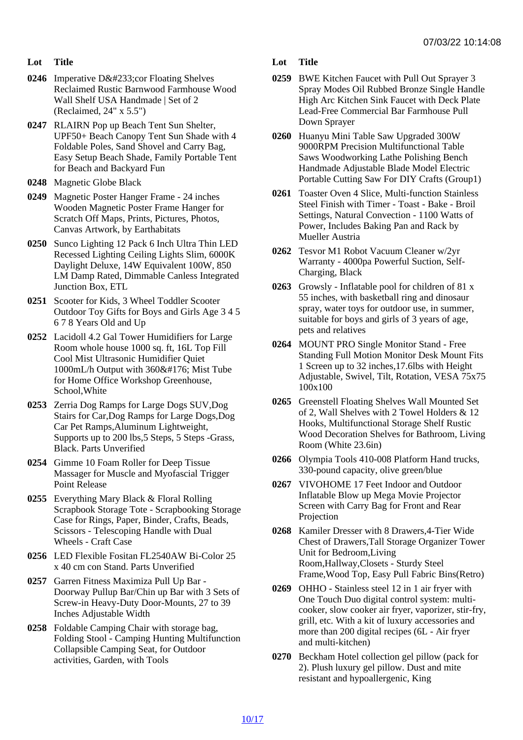- Lot Title
- 0246 Imperative Dé cor Floating Shelves Reclaimed Rustic Barnwood Farmhouse Wood Wall Shelf USA Handmade | Set of 2 (Reclaimed, 24" x 5.5")
- 0247 RLAIRN Pop up Beach Tent Sun Shelter, UPF50+ Beach Canopy Tent Sun Shade with 4 Foldable Poles, Sand Shovel and Carry Bag, Easy Setup Beach Shade, Family Portable Tent for Beach and Backyard Fun
- 0248 Magnetic Globe Black
- 0249 Magnetic Poster Hanger Frame 24 inches Wooden Magnetic Poster Frame Hanger for Scratch Off Maps, Prints, Pictures, Photos, Canvas Artwork, by Earthabitats
- 0250 Sunco Lighting 12 Pack 6 Inch Ultra Thin LED Recessed Lighting Ceiling Lights Slim, 6000K Daylight Deluxe, 14W Equivalent 100W, 850 LM Damp Rated, Dimmable Canless Integrated Junction Box, ETL
- 0251 Scooter for Kids, 3 Wheel Toddler Scooter Outdoor Toy Gifts for Boys and Girls Age 3 4 5 6 7 8 Years Old and Up
- 0252 Lacidoll 4.2 Gal Tower Humidifiers for Large Room whole house 1000 sq. ft, 16L Top Fill Cool Mist Ultrasonic Humidifier Quiet 1000mL/h Output with 360° Mist Tube for Home Office Workshop Greenhouse, School,White
- 0253 Zerria Dog Ramps for Large Dogs SUV,Dog Stairs for Car,Dog Ramps for Large Dogs,Dog Car Pet Ramps,Aluminum Lightweight, Supports up to 200 lbs,5 Steps, 5 Steps -Grass, Black. Parts Unverified
- 0254 Gimme 10 Foam Roller for Deep Tissue Massager for Muscle and Myofascial Trigger Point Release
- 0255 Everything Mary Black & Floral Rolling Scrapbook Storage Tote - Scrapbooking Storage Case for Rings, Paper, Binder, Crafts, Beads, Scissors - Telescoping Handle with Dual Wheels - Craft Case
- 0256 LED Flexible Fositan FL2540AW Bi-Color 25 x 40 cm con Stand. Parts Unverified
- 0257 Garren Fitness Maximiza Pull Up Bar Doorway Pullup Bar/Chin up Bar with 3 Sets of Screw-in Heavy-Duty Door-Mounts, 27 to 39 Inches Adjustable Width
- 0258 Foldable Camping Chair with storage bag, Folding Stool - Camping Hunting Multifunction Collapsible Camping Seat, for Outdoor activities, Garden, with Tools
- Lot Title
- 0259 BWE Kitchen Faucet with Pull Out Sprayer 3 Spray Modes Oil Rubbed Bronze Single Handle High Arc Kitchen Sink Faucet with Deck Plate Lead-Free Commercial Bar Farmhouse Pull Down Sprayer
- 0260 Huanyu Mini Table Saw Upgraded 300W 9000RPM Precision Multifunctional Table Saws Woodworking Lathe Polishing Bench Handmade Adjustable Blade Model Electric Portable Cutting Saw For DIY Crafts (Group1)
- 0261 Toaster Oven 4 Slice, Multi-function Stainless Steel Finish with Timer - Toast - Bake - Broil Settings, Natural Convection - 1100 Watts of Power, Includes Baking Pan and Rack by Mueller Austria
- 0262 Tesvor M1 Robot Vacuum Cleaner w/2yr Warranty - 4000pa Powerful Suction, Self-Charging, Black
- 0263 Growsly Inflatable pool for children of 81 x 55 inches, with basketball ring and dinosaur spray, water toys for outdoor use, in summer, suitable for boys and girls of 3 years of age, pets and relatives
- 0264 MOUNT PRO Single Monitor Stand Free Standing Full Motion Monitor Desk Mount Fits 1 Screen up to 32 inches,17.6lbs with Height Adjustable, Swivel, Tilt, Rotation, VESA 75x75 100x100
- 0265 Greenstell Floating Shelves Wall Mounted Set of 2, Wall Shelves with 2 Towel Holders & 12 Hooks, Multifunctional Storage Shelf Rustic Wood Decoration Shelves for Bathroom, Living Room (White 23.6in)
- 0266 Olympia Tools 410-008 Platform Hand trucks, 330-pound capacity, olive green/blue
- 0267 VIVOHOME 17 Feet Indoor and Outdoor Inflatable Blow up Mega Movie Projector Screen with Carry Bag for Front and Rear Projection
- 0268 Kamiler Dresser with 8 Drawers,4-Tier Wide Chest of Drawers,Tall Storage Organizer Tower Unit for Bedroom,Living Room,Hallway,Closets - Sturdy Steel Frame,Wood Top, Easy Pull Fabric Bins(Retro)
- 0269 OHHO Stainless steel 12 in 1 air fryer with One Touch Duo digital control system: multicooker, slow cooker air fryer, vaporizer, stir-fry, grill, etc. With a kit of luxury accessories and more than 200 digital recipes (6L - Air fryer and multi-kitchen)
- 0270 Beckham Hotel collection gel pillow (pack for 2). Plush luxury gel pillow. Dust and mite resistant and hypoallergenic, King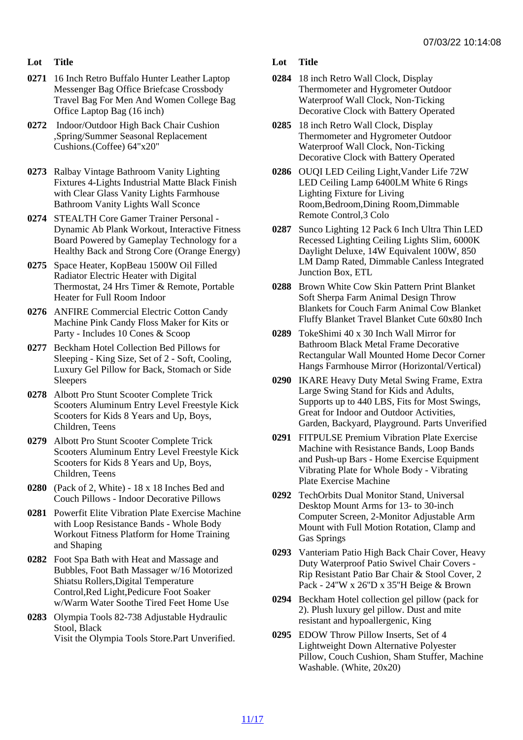- Lot Title
- 0271 16 Inch Retro Buffalo Hunter Leather Laptop Messenger Bag Office Briefcase Crossbody Travel Bag For Men And Women College Bag Office Laptop Bag (16 inch)
- 0272 Indoor/Outdoor High Back Chair Cushion ,Spring/Summer Seasonal Replacement Cushions.(Coffee) 64"x20"
- 0273 Ralbay Vintage Bathroom Vanity Lighting Fixtures 4-Lights Industrial Matte Black Finish with Clear Glass Vanity Lights Farmhouse Bathroom Vanity Lights Wall Sconce
- 0274 STEALTH Core Gamer Trainer Personal Dynamic Ab Plank Workout, Interactive Fitness Board Powered by Gameplay Technology for a Healthy Back and Strong Core (Orange Energy)
- 0275 Space Heater, KopBeau 1500W Oil Filled Radiator Electric Heater with Digital Thermostat, 24 Hrs Timer & Remote, Portable Heater for Full Room Indoor
- 0276 ANFIRE Commercial Electric Cotton Candy Machine Pink Candy Floss Maker for Kits or Party - Includes 10 Cones & Scoop
- 0277 Beckham Hotel Collection Bed Pillows for Sleeping - King Size, Set of 2 - Soft, Cooling, Luxury Gel Pillow for Back, Stomach or Side **Sleepers**
- 0278 Albott Pro Stunt Scooter Complete Trick Scooters Aluminum Entry Level Freestyle Kick Scooters for Kids 8 Years and Up, Boys, Children, Teens
- 0279 Albott Pro Stunt Scooter Complete Trick Scooters Aluminum Entry Level Freestyle Kick Scooters for Kids 8 Years and Up, Boys, Children, Teens
- 0280 (Pack of 2, White) 18 x 18 Inches Bed and Couch Pillows - Indoor Decorative Pillows
- 0281 Powerfit Elite Vibration Plate Exercise Machine with Loop Resistance Bands - Whole Body Workout Fitness Platform for Home Training and Shaping
- 0282 Foot Spa Bath with Heat and Massage and Bubbles, Foot Bath Massager w/16 Motorized Shiatsu Rollers,Digital Temperature Control,Red Light,Pedicure Foot Soaker w/Warm Water Soothe Tired Feet Home Use
- 0283 Olympia Tools 82-738 Adjustable Hydraulic Stool, Black Visit the Olympia Tools Store.Part Unverified.
- Lot Title
- 0284 18 inch Retro Wall Clock, Display Thermometer and Hygrometer Outdoor Waterproof Wall Clock, Non-Ticking Decorative Clock with Battery Operated
- 0285 18 inch Retro Wall Clock, Display Thermometer and Hygrometer Outdoor Waterproof Wall Clock, Non-Ticking Decorative Clock with Battery Operated
- 0286 OUQI LED Ceiling Light,Vander Life 72W LED Ceiling Lamp 6400LM White 6 Rings Lighting Fixture for Living Room,Bedroom,Dining Room,Dimmable Remote Control,3 Colo
- 0287 Sunco Lighting 12 Pack 6 Inch Ultra Thin LED Recessed Lighting Ceiling Lights Slim, 6000K Daylight Deluxe, 14W Equivalent 100W, 850 LM Damp Rated, Dimmable Canless Integrated Junction Box, ETL
- 0288 Brown White Cow Skin Pattern Print Blanket Soft Sherpa Farm Animal Design Throw Blankets for Couch Farm Animal Cow Blanket Fluffy Blanket Travel Blanket Cute 60x80 Inch
- 0289 TokeShimi 40 x 30 Inch Wall Mirror for Bathroom Black Metal Frame Decorative Rectangular Wall Mounted Home Decor Corner Hangs Farmhouse Mirror (Horizontal/Vertical)
- 0290 IKARE Heavy Duty Metal Swing Frame, Extra Large Swing Stand for Kids and Adults, Supports up to 440 LBS, Fits for Most Swings, Great for Indoor and Outdoor Activities, Garden, Backyard, Playground. Parts Unverified
- 0291 FITPULSE Premium Vibration Plate Exercise Machine with Resistance Bands, Loop Bands and Push-up Bars - Home Exercise Equipment Vibrating Plate for Whole Body - Vibrating Plate Exercise Machine
- 0292 TechOrbits Dual Monitor Stand, Universal Desktop Mount Arms for 13- to 30-inch Computer Screen, 2-Monitor Adjustable Arm Mount with Full Motion Rotation, Clamp and Gas Springs
- 0293 Vanteriam Patio High Back Chair Cover, Heavy Duty Waterproof Patio Swivel Chair Covers - Rip Resistant Patio Bar Chair & Stool Cover, 2 Pack - 24''W x 26''D x 35''H Beige & Brown
- 0294 Beckham Hotel collection gel pillow (pack for 2). Plush luxury gel pillow. Dust and mite resistant and hypoallergenic, King
- 0295 EDOW Throw Pillow Inserts, Set of 4 Lightweight Down Alternative Polyester Pillow, Couch Cushion, Sham Stuffer, Machine Washable. (White, 20x20)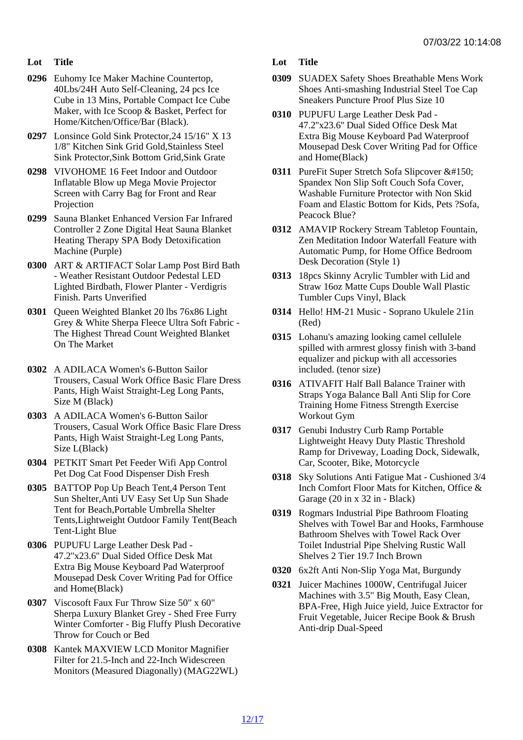- Lot Title
- 0296 Euhomy Ice Maker Machine Countertop, 40Lbs/24H Auto Self-Cleaning, 24 pcs Ice Cube in 13 Mins, Portable Compact Ice Cube Maker, with Ice Scoop & Basket, Perfect for Home/Kitchen/Office/Bar (Black).
- 0297 Lonsince Gold Sink Protector,24 15/16" X 13 1/8" Kitchen Sink Grid Gold,Stainless Steel Sink Protector,Sink Bottom Grid,Sink Grate
- 0298 VIVOHOME 16 Feet Indoor and Outdoor Inflatable Blow up Mega Movie Projector Screen with Carry Bag for Front and Rear Projection
- 0299 Sauna Blanket Enhanced Version Far Infrared Controller 2 Zone Digital Heat Sauna Blanket Heating Therapy SPA Body Detoxification Machine (Purple)
- 0300 ART & ARTIFACT Solar Lamp Post Bird Bath - Weather Resistant Outdoor Pedestal LED Lighted Birdbath, Flower Planter - Verdigris Finish. Parts Unverified
- 0301 Queen Weighted Blanket 20 lbs 76x86 Light Grey & White Sherpa Fleece Ultra Soft Fabric - The Highest Thread Count Weighted Blanket On The Market
- 0302 A ADILACA Women's 6-Button Sailor Trousers, Casual Work Office Basic Flare Dress Pants, High Waist Straight-Leg Long Pants, Size M (Black)
- 0303 A ADILACA Women's 6-Button Sailor Trousers, Casual Work Office Basic Flare Dress Pants, High Waist Straight-Leg Long Pants, Size L(Black)
- 0304 PETKIT Smart Pet Feeder Wifi App Control Pet Dog Cat Food Dispenser Dish Fresh
- 0305 BATTOP Pop Up Beach Tent,4 Person Tent Sun Shelter,Anti UV Easy Set Up Sun Shade Tent for Beach,Portable Umbrella Shelter Tents,Lightweight Outdoor Family Tent(Beach Tent-Light Blue
- 0306 PUPUFU Large Leather Desk Pad 47.2''x23.6'' Dual Sided Office Desk Mat Extra Big Mouse Keyboard Pad Waterproof Mousepad Desk Cover Writing Pad for Office and Home(Black)
- 0307 Viscosoft Faux Fur Throw Size 50" x 60" Sherpa Luxury Blanket Grey - Shed Free Furry Winter Comforter - Big Fluffy Plush Decorative Throw for Couch or Bed
- 0308 Kantek MAXVIEW LCD Monitor Magnifier Filter for 21.5-Inch and 22-Inch Widescreen Monitors (Measured Diagonally) (MAG22WL)

Lot Title

- 0309 SUADEX Safety Shoes Breathable Mens Work Shoes Anti-smashing Industrial Steel Toe Cap Sneakers Puncture Proof Plus Size 10
- 0310 PUPUFU Large Leather Desk Pad 47.2''x23.6'' Dual Sided Office Desk Mat Extra Big Mouse Keyboard Pad Waterproof Mousepad Desk Cover Writing Pad for Office and Home(Black)
- 0311 PureFit Super Stretch Sofa Slipcover Spandex Non Slip Soft Couch Sofa Cover, Washable Furniture Protector with Non Skid Foam and Elastic Bottom for Kids, Pets ?Sofa, Peacock Blue?
- 0312 AMAVIP Rockery Stream Tabletop Fountain, Zen Meditation Indoor Waterfall Feature with Automatic Pump, for Home Office Bedroom Desk Decoration (Style 1)
- 0313 18pcs Skinny Acrylic Tumbler with Lid and Straw 16oz Matte Cups Double Wall Plastic Tumbler Cups Vinyl, Black
- 0314 Hello! HM-21 Music Soprano Ukulele 21in (Red)
- 0315 Lohanu's amazing looking camel cellulele spilled with armrest glossy finish with 3-band equalizer and pickup with all accessories included. (tenor size)
- 0316 ATIVAFIT Half Ball Balance Trainer with Straps Yoga Balance Ball Anti Slip for Core Training Home Fitness Strength Exercise Workout Gym
- 0317 Genubi Industry Curb Ramp Portable Lightweight Heavy Duty Plastic Threshold Ramp for Driveway, Loading Dock, Sidewalk, Car, Scooter, Bike, Motorcycle
- 0318 Sky Solutions Anti Fatigue Mat Cushioned 3/4 Inch Comfort Floor Mats for Kitchen, Office & Garage (20 in x 32 in - Black)
- 0319 Rogmars Industrial Pipe Bathroom Floating Shelves with Towel Bar and Hooks, Farmhouse Bathroom Shelves with Towel Rack Over Toilet Industrial Pipe Shelving Rustic Wall Shelves 2 Tier 19.7 Inch Brown
- 0320 6x2ft Anti Non-Slip Yoga Mat, Burgundy
- 0321 Juicer Machines 1000W, Centrifugal Juicer Machines with 3.5" Big Mouth, Easy Clean, BPA-Free, High Juice yield, Juice Extractor for Fruit Vegetable, Juicer Recipe Book & Brush Anti-drip Dual-Speed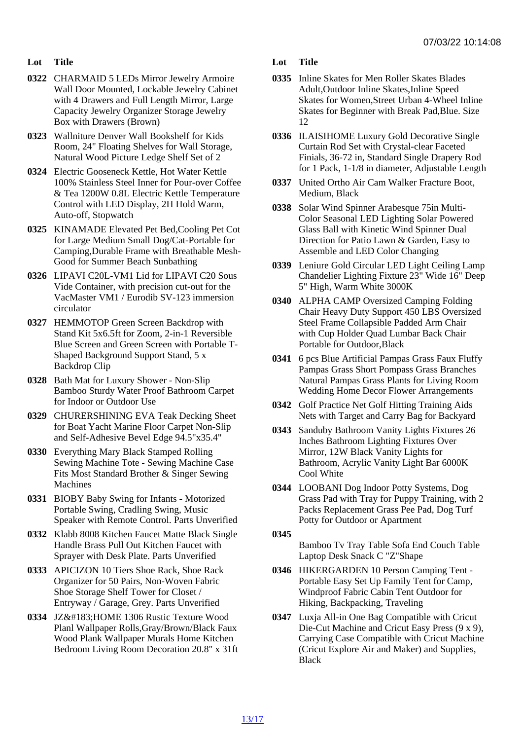- Lot Title
- 0322 CHARMAID 5 LEDs Mirror Jewelry Armoire Wall Door Mounted, Lockable Jewelry Cabinet with 4 Drawers and Full Length Mirror, Large Capacity Jewelry Organizer Storage Jewelry Box with Drawers (Brown)
- 0323 Wallniture Denver Wall Bookshelf for Kids Room, 24" Floating Shelves for Wall Storage, Natural Wood Picture Ledge Shelf Set of 2
- 0324 Electric Gooseneck Kettle, Hot Water Kettle 100% Stainless Steel Inner for Pour-over Coffee & Tea 1200W 0.8L Electric Kettle Temperature Control with LED Display, 2H Hold Warm, Auto-off, Stopwatch
- 0325 KINAMADE Elevated Pet Bed,Cooling Pet Cot for Large Medium Small Dog/Cat-Portable for Camping,Durable Frame with Breathable Mesh-Good for Summer Beach Sunbathing
- 0326 LIPAVI C20L-VM1 Lid for LIPAVI C20 Sous Vide Container, with precision cut-out for the VacMaster VM1 / Eurodib SV-123 immersion circulator
- 0327 HEMMOTOP Green Screen Backdrop with Stand Kit 5x6.5ft for Zoom, 2-in-1 Reversible Blue Screen and Green Screen with Portable T-Shaped Background Support Stand, 5 x Backdrop Clip
- 0328 Bath Mat for Luxury Shower Non-Slip Bamboo Sturdy Water Proof Bathroom Carpet for Indoor or Outdoor Use
- 0329 CHURERSHINING EVA Teak Decking Sheet for Boat Yacht Marine Floor Carpet Non-Slip and Self-Adhesive Bevel Edge 94.5"x35.4"
- 0330 Everything Mary Black Stamped Rolling Sewing Machine Tote - Sewing Machine Case Fits Most Standard Brother & Singer Sewing **Machines**
- 0331 BIOBY Baby Swing for Infants Motorized Portable Swing, Cradling Swing, Music Speaker with Remote Control. Parts Unverified
- 0332 Klabb 8008 Kitchen Faucet Matte Black Single Handle Brass Pull Out Kitchen Faucet with Sprayer with Desk Plate. Parts Unverified
- 0333 APICIZON 10 Tiers Shoe Rack, Shoe Rack Organizer for 50 Pairs, Non-Woven Fabric Shoe Storage Shelf Tower for Closet / Entryway / Garage, Grey. Parts Unverified
- 0334 JZ&#183: HOME 1306 Rustic Texture Wood Planl Wallpaper Rolls,Gray/Brown/Black Faux Wood Plank Wallpaper Murals Home Kitchen Bedroom Living Room Decoration 20.8" x 31ft
- Lot Title
- 0335 Inline Skates for Men Roller Skates Blades Adult,Outdoor Inline Skates,Inline Speed Skates for Women,Street Urban 4-Wheel Inline Skates for Beginner with Break Pad,Blue. Size 12
- 0336 ILAISIHOME Luxury Gold Decorative Single Curtain Rod Set with Crystal-clear Faceted Finials, 36-72 in, Standard Single Drapery Rod for 1 Pack, 1-1/8 in diameter, Adjustable Length
- 0337 United Ortho Air Cam Walker Fracture Boot, Medium, Black
- 0338 Solar Wind Spinner Arabesque 75in Multi-Color Seasonal LED Lighting Solar Powered Glass Ball with Kinetic Wind Spinner Dual Direction for Patio Lawn & Garden, Easy to Assemble and LED Color Changing
- 0339 Leniure Gold Circular LED Light Ceiling Lamp Chandelier Lighting Fixture 23" Wide 16" Deep 5" High, Warm White 3000K
- 0340 ALPHA CAMP Oversized Camping Folding Chair Heavy Duty Support 450 LBS Oversized Steel Frame Collapsible Padded Arm Chair with Cup Holder Quad Lumbar Back Chair Portable for Outdoor,Black
- 0341 6 pcs Blue Artificial Pampas Grass Faux Fluffy Pampas Grass Short Pompass Grass Branches Natural Pampas Grass Plants for Living Room Wedding Home Decor Flower Arrangements
- 0342 Golf Practice Net Golf Hitting Training Aids Nets with Target and Carry Bag for Backyard
- 0343 Sanduby Bathroom Vanity Lights Fixtures 26 Inches Bathroom Lighting Fixtures Over Mirror, 12W Black Vanity Lights for Bathroom, Acrylic Vanity Light Bar 6000K Cool White
- 0344 LOOBANI Dog Indoor Potty Systems, Dog Grass Pad with Tray for Puppy Training, with 2 Packs Replacement Grass Pee Pad, Dog Turf Potty for Outdoor or Apartment

0345

Bamboo Tv Tray Table Sofa End Couch Table Laptop Desk Snack C "Z"Shape

- 0346 HIKERGARDEN 10 Person Camping Tent Portable Easy Set Up Family Tent for Camp, Windproof Fabric Cabin Tent Outdoor for Hiking, Backpacking, Traveling
- 0347 Luxja All-in One Bag Compatible with Cricut Die-Cut Machine and Cricut Easy Press (9 x 9), Carrying Case Compatible with Cricut Machine (Cricut Explore Air and Maker) and Supplies, **Black**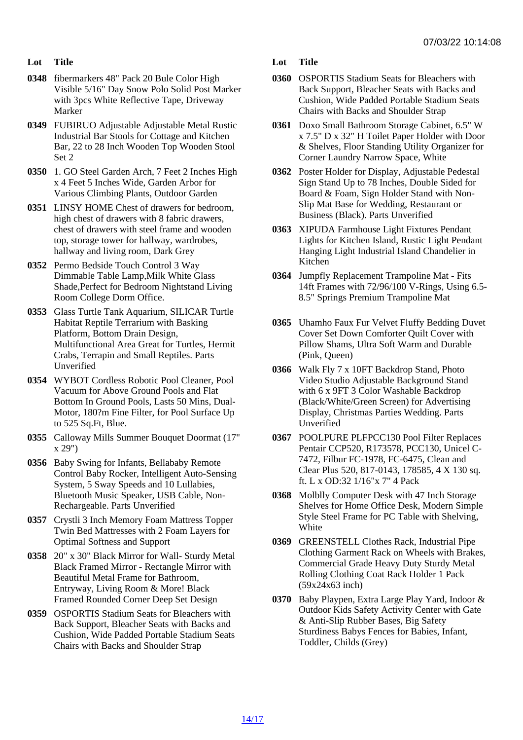- Lot Title
- 0348 fibermarkers 48" Pack 20 Bule Color High Visible 5/16" Day Snow Polo Solid Post Marker with 3pcs White Reflective Tape, Driveway Marker
- 0349 FUBIRUO Adjustable Adjustable Metal Rustic Industrial Bar Stools for Cottage and Kitchen Bar, 22 to 28 Inch Wooden Top Wooden Stool Set 2
- 0350 1. GO Steel Garden Arch, 7 Feet 2 Inches High x 4 Feet 5 Inches Wide, Garden Arbor for Various Climbing Plants, Outdoor Garden
- 0351 LINSY HOME Chest of drawers for bedroom, high chest of drawers with 8 fabric drawers, chest of drawers with steel frame and wooden top, storage tower for hallway, wardrobes, hallway and living room, Dark Grey
- 0352 Permo Bedside Touch Control 3 Way Dimmable Table Lamp,Milk White Glass Shade,Perfect for Bedroom Nightstand Living Room College Dorm Office.
- 0353 Glass Turtle Tank Aquarium, SILICAR Turtle Habitat Reptile Terrarium with Basking Platform, Bottom Drain Design, Multifunctional Area Great for Turtles, Hermit Crabs, Terrapin and Small Reptiles. Parts Unverified
- 0354 WYBOT Cordless Robotic Pool Cleaner, Pool Vacuum for Above Ground Pools and Flat Bottom In Ground Pools, Lasts 50 Mins, Dual-Motor, 180?m Fine Filter, for Pool Surface Up to 525 Sq.Ft, Blue.
- 0355 Calloway Mills Summer Bouquet Doormat (17" x 29")
- 0356 Baby Swing for Infants, Bellababy Remote Control Baby Rocker, Intelligent Auto-Sensing System, 5 Sway Speeds and 10 Lullabies, Bluetooth Music Speaker, USB Cable, Non-Rechargeable. Parts Unverified
- 0357 Crystli 3 Inch Memory Foam Mattress Topper Twin Bed Mattresses with 2 Foam Layers for Optimal Softness and Support
- 0358 20" x 30" Black Mirror for Wall- Sturdy Metal Black Framed Mirror - Rectangle Mirror with Beautiful Metal Frame for Bathroom, Entryway, Living Room & More! Black Framed Rounded Corner Deep Set Design
- 0359 OSPORTIS Stadium Seats for Bleachers with Back Support, Bleacher Seats with Backs and Cushion, Wide Padded Portable Stadium Seats Chairs with Backs and Shoulder Strap
- Lot Title
- 0360 OSPORTIS Stadium Seats for Bleachers with Back Support, Bleacher Seats with Backs and Cushion, Wide Padded Portable Stadium Seats Chairs with Backs and Shoulder Strap
- 0361 Doxo Small Bathroom Storage Cabinet, 6.5" W x 7.5" D x 32" H Toilet Paper Holder with Door & Shelves, Floor Standing Utility Organizer for Corner Laundry Narrow Space, White
- 0362 Poster Holder for Display, Adjustable Pedestal Sign Stand Up to 78 Inches, Double Sided for Board & Foam, Sign Holder Stand with Non-Slip Mat Base for Wedding, Restaurant or Business (Black). Parts Unverified
- 0363 XIPUDA Farmhouse Light Fixtures Pendant Lights for Kitchen Island, Rustic Light Pendant Hanging Light Industrial Island Chandelier in **Kitchen**
- 0364 Jumpfly Replacement Trampoline Mat Fits 14ft Frames with 72/96/100 V-Rings, Using 6.5- 8.5" Springs Premium Trampoline Mat
- 0365 Uhamho Faux Fur Velvet Fluffy Bedding Duvet Cover Set Down Comforter Quilt Cover with Pillow Shams, Ultra Soft Warm and Durable (Pink, Queen)
- 0366 Walk Fly 7 x 10FT Backdrop Stand, Photo Video Studio Adjustable Background Stand with 6 x 9FT 3 Color Washable Backdrop (Black/White/Green Screen) for Advertising Display, Christmas Parties Wedding. Parts Unverified
- 0367 POOLPURE PLFPCC130 Pool Filter Replaces Pentair CCP520, R173578, PCC130, Unicel C-7472, Filbur FC-1978, FC-6475, Clean and Clear Plus 520, 817-0143, 178585, 4 X 130 sq. ft. L x OD:32 1/16"x 7" 4 Pack
- 0368 Molblly Computer Desk with 47 Inch Storage Shelves for Home Office Desk, Modern Simple Style Steel Frame for PC Table with Shelving, **White**
- 0369 GREENSTELL Clothes Rack, Industrial Pipe Clothing Garment Rack on Wheels with Brakes, Commercial Grade Heavy Duty Sturdy Metal Rolling Clothing Coat Rack Holder 1 Pack (59x24x63 inch)
- 0370 Baby Playpen, Extra Large Play Yard, Indoor & Outdoor Kids Safety Activity Center with Gate & Anti-Slip Rubber Bases, Big Safety Sturdiness Babys Fences for Babies, Infant, Toddler, Childs (Grey)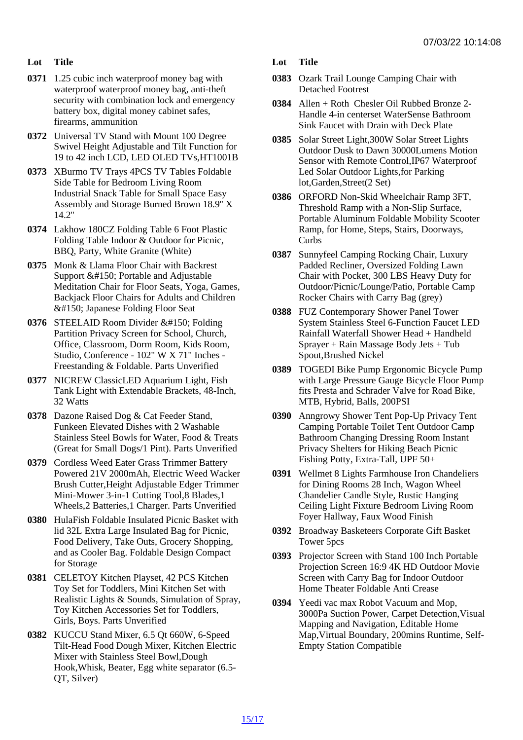- Lot Title
- 0371 1.25 cubic inch waterproof money bag with waterproof waterproof money bag, anti-theft security with combination lock and emergency battery box, digital money cabinet safes, firearms, ammunition
- 0372 Universal TV Stand with Mount 100 Degree Swivel Height Adjustable and Tilt Function for 19 to 42 inch LCD, LED OLED TVs,HT1001B
- 0373 XBurmo TV Trays 4PCS TV Tables Foldable Side Table for Bedroom Living Room Industrial Snack Table for Small Space Easy Assembly and Storage Burned Brown 18.9'' X 14.2''
- 0374 Lakhow 180CZ Folding Table 6 Foot Plastic Folding Table Indoor & Outdoor for Picnic, BBQ, Party, White Granite (White)
- 0375 Monk & Llama Floor Chair with Backrest Support – Portable and Adjustable Meditation Chair for Floor Seats, Yoga, Games, Backjack Floor Chairs for Adults and Children – Japanese Folding Floor Seat
- 0376 STEELAID Room Divider Folding Partition Privacy Screen for School, Church, Office, Classroom, Dorm Room, Kids Room, Studio, Conference - 102" W X 71" Inches - Freestanding & Foldable. Parts Unverified
- 0377 NICREW ClassicLED Aquarium Light, Fish Tank Light with Extendable Brackets, 48-Inch, 32 Watts
- 0378 Dazone Raised Dog & Cat Feeder Stand, Funkeen Elevated Dishes with 2 Washable Stainless Steel Bowls for Water, Food & Treats (Great for Small Dogs/1 Pint). Parts Unverified
- 0379 Cordless Weed Eater Grass Trimmer Battery Powered 21V 2000mAh, Electric Weed Wacker Brush Cutter,Height Adjustable Edger Trimmer Mini-Mower 3-in-1 Cutting Tool,8 Blades,1 Wheels,2 Batteries,1 Charger. Parts Unverified
- 0380 HulaFish Foldable Insulated Picnic Basket with lid 32L Extra Large Insulated Bag for Picnic, Food Delivery, Take Outs, Grocery Shopping, and as Cooler Bag. Foldable Design Compact for Storage
- 0381 CELETOY Kitchen Playset, 42 PCS Kitchen Toy Set for Toddlers, Mini Kitchen Set with Realistic Lights & Sounds, Simulation of Spray, Toy Kitchen Accessories Set for Toddlers, Girls, Boys. Parts Unverified
- 0382 KUCCU Stand Mixer, 6.5 Qt 660W, 6-Speed Tilt-Head Food Dough Mixer, Kitchen Electric Mixer with Stainless Steel Bowl,Dough Hook,Whisk, Beater, Egg white separator (6.5- QT, Silver)
- Lot Title
- 0383 Ozark Trail Lounge Camping Chair with Detached Footrest
- 0384 Allen + Roth Chesler Oil Rubbed Bronze 2- Handle 4-in centerset WaterSense Bathroom Sink Faucet with Drain with Deck Plate
- 0385 Solar Street Light,300W Solar Street Lights Outdoor Dusk to Dawn 30000Lumens Motion Sensor with Remote Control,IP67 Waterproof Led Solar Outdoor Lights,for Parking lot,Garden,Street(2 Set)
- 0386 ORFORD Non-Skid Wheelchair Ramp 3FT, Threshold Ramp with a Non-Slip Surface, Portable Aluminum Foldable Mobility Scooter Ramp, for Home, Steps, Stairs, Doorways, Curbs
- 0387 Sunnyfeel Camping Rocking Chair, Luxury Padded Recliner, Oversized Folding Lawn Chair with Pocket, 300 LBS Heavy Duty for Outdoor/Picnic/Lounge/Patio, Portable Camp Rocker Chairs with Carry Bag (grey)
- 0388 FUZ Contemporary Shower Panel Tower System Stainless Steel 6-Function Faucet LED Rainfall Waterfall Shower Head + Handheld Sprayer + Rain Massage Body Jets + Tub Spout,Brushed Nickel
- 0389 TOGEDI Bike Pump Ergonomic Bicycle Pump with Large Pressure Gauge Bicycle Floor Pump fits Presta and Schrader Valve for Road Bike, MTB, Hybrid, Balls, 200PSI
- 0390 Anngrowy Shower Tent Pop-Up Privacy Tent Camping Portable Toilet Tent Outdoor Camp Bathroom Changing Dressing Room Instant Privacy Shelters for Hiking Beach Picnic Fishing Potty, Extra-Tall, UPF 50+
- 0391 Wellmet 8 Lights Farmhouse Iron Chandeliers for Dining Rooms 28 Inch, Wagon Wheel Chandelier Candle Style, Rustic Hanging Ceiling Light Fixture Bedroom Living Room Foyer Hallway, Faux Wood Finish
- 0392 Broadway Basketeers Corporate Gift Basket Tower 5pcs
- 0393 Projector Screen with Stand 100 Inch Portable Projection Screen 16:9 4K HD Outdoor Movie Screen with Carry Bag for Indoor Outdoor Home Theater Foldable Anti Crease
- 0394 Yeedi vac max Robot Vacuum and Mop, 3000Pa Suction Power, Carpet Detection,Visual Mapping and Navigation, Editable Home Map,Virtual Boundary, 200mins Runtime, Self-Empty Station Compatible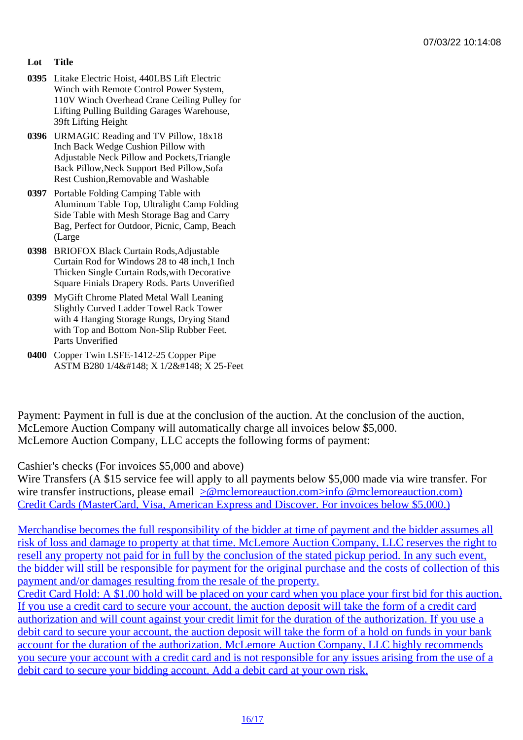- Lot Title
- 0395 Litake Electric Hoist, 440LBS Lift Electric Winch with Remote Control Power System, 110V Winch Overhead Crane Ceiling Pulley for Lifting Pulling Building Garages Warehouse, 39ft Lifting Height
- 0396 URMAGIC Reading and TV Pillow, 18x18 Inch Back Wedge Cushion Pillow with Adjustable Neck Pillow and Pockets,Triangle Back Pillow,Neck Support Bed Pillow,Sofa Rest Cushion,Removable and Washable
- 0397 Portable Folding Camping Table with Aluminum Table Top, Ultralight Camp Folding Side Table with Mesh Storage Bag and Carry Bag, Perfect for Outdoor, Picnic, Camp, Beach (Large
- 0398 BRIOFOX Black Curtain Rods,Adjustable Curtain Rod for Windows 28 to 48 inch,1 Inch Thicken Single Curtain Rods,with Decorative Square Finials Drapery Rods. Parts Unverified
- 0399 MyGift Chrome Plated Metal Wall Leaning Slightly Curved Ladder Towel Rack Tower with 4 Hanging Storage Rungs, Drying Stand with Top and Bottom Non-Slip Rubber Feet. Parts Unverified
- 0400 Copper Twin LSFE-1412-25 Copper Pipe ASTM B280 1/4" X 1/2" X 25-Feet

Payment: Payment in full is due at the conclusion of the auction. At the conclusion of the auction, McLemore Auction Company will automatically charge all invoices below \$5,000. McLemore Auction Company, LLC accepts the following forms of payment:

## Cashier's checks (For invoices \$5,000 and above)

Wire Transfers (A \$15 service fee will apply to all payments below \$5,000 made via wire transfer. For wire transfer instructions, please email mclemoreauction.com>info @mclemoreauction.com) Credit Cards (MasterCard, Visa, American Express and Discover. For invoices below \$5,000.)

Merchandise becomes the full resp[onsibility of the bidder at time of payment and the bidd](mailto:info@mclemoreauction.com</c:alink)er assumes a [risk of loss and damage to property at that time. McLemore Auction Company, LLC re](mailto:info@mclemoreauction.com</c:alink)serves the right to resell any property not paid for in full by the conclusion of the stated pickup period. In any such event, [the bidder will still be responsible for payment for the original purchase and the costs of collecti](mailto:info@mclemoreauction.com</c:alink)on of this payment and/or damages resulting from the resale of the property.

[Credit Card Hold: A \\$1.00 hold will be placed on your card when you place your first bid for this](mailto:info@mclemoreauction.com</c:alink) auction. [If you use a credit card to secure your account, the auction deposit will take the form of a credit c](mailto:info@mclemoreauction.com</c:alink)ard [authorization and will count against your credit limit for the d](mailto:info@mclemoreauction.com</c:alink)uration of the authorization. If you use a [debit card to secure your account, the auction deposit will take the form of a hold on funds in you](mailto:info@mclemoreauction.com</c:alink)r bank [account for the duration of the authorization. McLemore Auction Company, LLC highly reco](mailto:info@mclemoreauction.com</c:alink)mmends [you secure your account with a credit card and is not responsible for any issues arising from](mailto:info@mclemoreauction.com</c:alink) the use of [debit card to secure your bidding account. Add a debit card at your own risk.](mailto:info@mclemoreauction.com</c:alink)